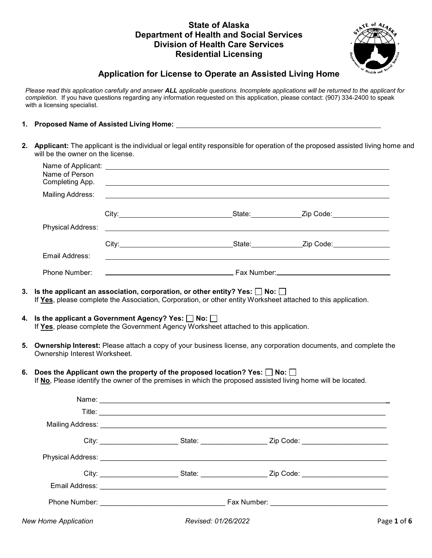# **Residential Licensing State of Alaska Department of Health and Social Services Division of Health Care Services**



# **Application for License to Operate an Assisted Living Home**

 *Please read this application carefully and answer ALL applicable questions. Incomplete applications will be returned to the applicant for completion.* If you have questions regarding any information requested on this application, please contact: (907) 334-2400 to speak with a licensing specialist.

# **1. Proposed Name of Assisted Living Home:**

**2. Applicant:** The applicant is the individual or legal entity responsible for operation of the proposed assisted living home and will be the owner on the license.

|    | Name of Person<br>Completing App.                            |                                                                                                                                                                                        | ,我们也不会有一个人的人,我们也不会有一个人的人,我们也不会有一个人的人。""我们,我们也不会有一个人的人,我们也不会有一个人的人,我们也不会有一个人的人,我们                                      |
|----|--------------------------------------------------------------|----------------------------------------------------------------------------------------------------------------------------------------------------------------------------------------|-----------------------------------------------------------------------------------------------------------------------|
|    | Mailing Address:                                             |                                                                                                                                                                                        |                                                                                                                       |
|    |                                                              |                                                                                                                                                                                        |                                                                                                                       |
|    | Physical Address:                                            |                                                                                                                                                                                        | <u> 1989 - Johann Stoff, deutscher Stoff, der Stoff, der Stoff, der Stoff, der Stoff, der Stoff, der Stoff, der S</u> |
|    |                                                              |                                                                                                                                                                                        |                                                                                                                       |
|    | Email Address:                                               |                                                                                                                                                                                        |                                                                                                                       |
|    | Phone Number:                                                |                                                                                                                                                                                        |                                                                                                                       |
| 4. | Is the applicant a Government Agency? Yes: $\Box$ No: $\Box$ | 3. $\;$ Is the applicant an association, corporation, or other entity? Yes: $\Box$ No: $\Box$<br>If Yes, please complete the Government Agency Worksheet attached to this application. | If Yes, please complete the Association, Corporation, or other entity Worksheet attached to this application.         |
| 5. | Ownership Interest Worksheet.                                |                                                                                                                                                                                        | <b>Ownership Interest:</b> Please attach a copy of your business license, any corporation documents, and complete the |
| 6. |                                                              | Does the Applicant own the property of the proposed location? Yes: $\Box$ No: $\Box$                                                                                                   | If No, Please identify the owner of the premises in which the proposed assisted living home will be located.          |
|    |                                                              |                                                                                                                                                                                        |                                                                                                                       |
|    |                                                              |                                                                                                                                                                                        |                                                                                                                       |
|    |                                                              |                                                                                                                                                                                        |                                                                                                                       |
|    |                                                              |                                                                                                                                                                                        | City: __________________________State: _____________________Zip Code: _____________________________                   |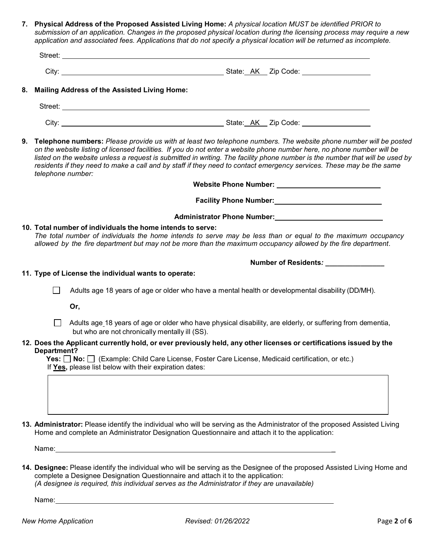**7. Physical Address of the Proposed Assisted Living Home:** *A physical location MUST be identified PRIOR to submission of an application. Changes in the proposed physical location during the licensing process may require a new application and associated fees. Applications that do not specify a physical location will be returned as incomplete.*

| Street: |                           |  |
|---------|---------------------------|--|
|         |                           |  |
| City:   | AK<br>Zip Code:<br>State: |  |

**8. Mailing Address of the Assisted Living Home:**

| Street: |                     |  |
|---------|---------------------|--|
| City:   | State: AK Zip Code: |  |

**9. Telephone numbers:** *Please provide us with at least two telephone numbers. The website phone number will be posted on the website listing of licensed facilities. If you do not enter a website phone number here, no phone number will be listed on the website unless a request is submitted in writing. The facility phone number is the number that will be used by residents if they need to make a call and by staff if they need to contact emergency services. These may be the same telephone number:*

| Website Phone Number: |  |
|-----------------------|--|
|                       |  |

**Facility Phone Number:** 

## **Administrator Phone Number:**

## **10. Total number of individuals the home intends to serve:**

 *The total number of individuals the home intends to serve may be less than or equal to the maximum occupancy allowed by the fire department but may not be more than the maximum occupancy allowed by the fire department*.

**Number of Residents***: \_\_\_\_\_\_\_\_\_\_\_\_\_\_\_* 

- **11. Type of License the individual wants to operate:**
	- $\Box$  Adults age 18 years of age or older who have a mental health or developmental disability (DD/MH).

**Or,** 

 $\Box$  Adults age 18 years of age or older who have physical disability, are elderly, or suffering from dementia, but who are not chronically mentally ill (SS).

#### **12. Does the Applicant currently hold, or ever previously held, any other licenses or certifications issued by the Department?**

 **Yes: No:** (Example: Child Care License, Foster Care License, Medicaid certification, or etc.) If **Yes,** please list below with their expiration dates:

**13. Administrator:** Please identify the individual who will be serving as the Administrator of the proposed Assisted Living Home and complete an Administrator Designation Questionnaire and attach it to the application:

Name: \_

**14. Designee:** Please identify the individual who will be serving as the Designee of the proposed Assisted Living Home and complete a Designee Designation Questionnaire and attach it to the application: *(A designee is required, this individual serves as the Administrator if they are unavailable)*

Name: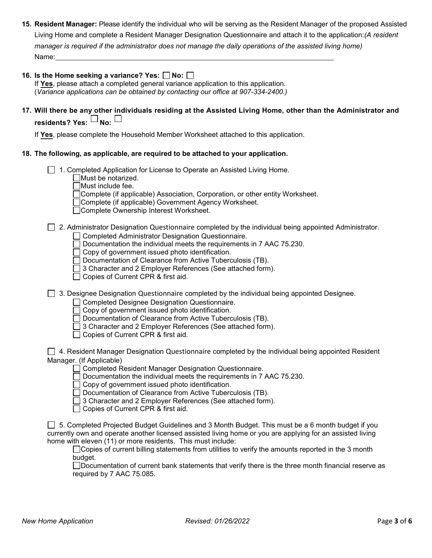- **15. Resident Manager:** Please identify the individual who will be serving as the Resident Manager of the proposed Assisted Name:\_  (*Variance applications can be obtained by contacting our office at 907-334-2400.)* Living Home and complete a Resident Manager Designation Questionnaire and attach it to the application:*(A resident manager is required if the administrator does not manage the daily operations of the assisted living home)* 16. Is the Home seeking a variance? Yes:  $\Box$  No:  $\Box$ If **Yes**, please attach a completed general variance application to this application.  $\ddot{\phantom{a}}$
- **17. Will there be any other individuals residing at the Assisted Living Home, other than the Administrator and** residents? Yes:  $\sqcup$  No:  $\sqcup$

If **Yes**, please complete the Household Member Worksheet attached to this application.

## **18. The following, as applicable, are required to be attached to your application.**

1. Completed Application for License to Operate an Assisted Living Home.

Must be notarized.

Must include fee.

□ Complete (if applicable) Association, Corporation, or other entity Worksheet.

Complete (if applicable) Government Agency Worksheet.

Complete Ownership Interest Worksheet.

2. Administrator Designation Questionnaire completed by the individual being appointed Administrator.

Completed Administrator Designation Questionnaire.

Documentation the individual meets the requirements in 7 AAC 75.230.

□ Copy of government issued photo identification.

□ Documentation of Clearance from Active Tuberculosis (TB).

3 Character and 2 Employer References (See attached form).

◯ Copies of Current CPR & first aid.

 $\Box$  3. Designee Designation Questionnaire completed by the individual being appointed Designee.

□ Completed Designee Designation Questionnaire.

 $\Box$  Copy of government issued photo identification.

 $\Box$  Documentation of Clearance from Active Tuberculosis (TB).

□ 3 Character and 2 Employer References (See attached form).

□ Copies of Current CPR & first aid.

 $\Box$  4. Resident Manager Designation Questionnaire completed by the individual being appointed Resident Manager. (If Applicable)

□ Completed Resident Manager Designation Questionnaire.

 $\Box$  Documentation the individual meets the requirements in 7 AAC 75.230.

 $\Box$  Copy of government issued photo identification.

 $\Box$  Documentation of Clearance from Active Tuberculosis (TB).

3 Character and 2 Employer References (See attached form).

 $\Box$  Copies of Current CPR & first aid.

 $\Box$  5. Completed Projected Budget Guidelines and 3 Month Budget. This must be a 6 month budget if you currently own and operate another licensed assisted living home or you are applying for an assisted living home with eleven (11) or more residents. This must include:

□ Copies of current billing statements from utilities to verify the amounts reported in the 3 month budget.

Documentation of current bank statements that verify there is the three month financial reserve as required by 7 AAC 75.085.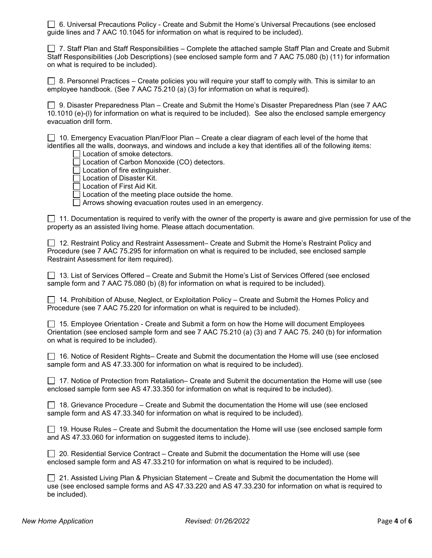6. Universal Precautions Policy - Create and Submit the Home's Universal Precautions (see enclosed guide lines and 7 AAC 10.1045 for information on what is required to be included).

 $\Box$  7. Staff Plan and Staff Responsibilities – Complete the attached sample Staff Plan and Create and Submit Staff Responsibilities (Job Descriptions) (see enclosed sample form and 7 AAC 75.080 (b) (11) for information on what is required to be included).

 $\Box$  8. Personnel Practices – Create policies you will require your staff to comply with. This is similar to an employee handbook. (See 7 AAC 75.210 (a) (3) for information on what is required).

 $\Box$  9. Disaster Preparedness Plan – Create and Submit the Home's Disaster Preparedness Plan (see 7 AAC 10.1010 (e)-(l) for information on what is required to be included). See also the enclosed sample emergency evacuation drill form.

 $\Box$  10. Emergency Evacuation Plan/Floor Plan – Create a clear diagram of each level of the home that identifies all the walls, doorways, and windows and include a key that identifies all of the following items:

Location of smoke detectors.

Location of Carbon Monoxide (CO) detectors.

 $\Box$  Location of fire extinguisher.

□ Location of Disaster Kit.

□ Location of First Aid Kit.

 $\Box$  Location of the meeting place outside the home.

 $\Box$  Arrows showing evacuation routes used in an emergency.

 $\Box$  11. Documentation is required to verify with the owner of the property is aware and give permission for use of the property as an assisted living home. Please attach documentation.

□ 12. Restraint Policy and Restraint Assessment– Create and Submit the Home's Restraint Policy and Procedure (see 7 AAC 75.295 for information on what is required to be included, see enclosed sample Restraint Assessment for item required).

13. List of Services Offered – Create and Submit the Home's List of Services Offered (see enclosed sample form and 7 AAC 75.080 (b) (8) for information on what is required to be included).

□ 14. Prohibition of Abuse, Neglect, or Exploitation Policy – Create and Submit the Homes Policy and Procedure (see 7 AAC 75.220 for information on what is required to be included).

 $\Box$  15. Employee Orientation - Create and Submit a form on how the Home will document Employees Orientation (see enclosed sample form and see 7 AAC 75.210 (a) (3) and 7 AAC 75. 240 (b) for information on what is required to be included).

| □ 16. Notice of Resident Rights– Create and Submit the documentation the Home will use (see enclosed |
|------------------------------------------------------------------------------------------------------|
| sample form and AS 47.33.300 for information on what is required to be included).                    |

| □ 17. Notice of Protection from Retaliation– Create and Submit the documentation the Home will use (see |  |
|---------------------------------------------------------------------------------------------------------|--|
| enclosed sample form see AS 47.33.350 for information on what is required to be included).              |  |

 $\Box$  18. Grievance Procedure – Create and Submit the documentation the Home will use (see enclosed sample form and AS 47.33.340 for information on what is required to be included).

| □ 19. House Rules – Create and Submit the documentation the Home will use (see enclosed sample form |  |
|-----------------------------------------------------------------------------------------------------|--|
| and AS 47.33.060 for information on suggested items to include).                                    |  |

 $\Box$  20. Residential Service Contract – Create and Submit the documentation the Home will use (see enclosed sample form and AS 47.33.210 for information on what is required to be included).

 $\Box$  21. Assisted Living Plan & Physician Statement – Create and Submit the documentation the Home will use (see enclosed sample forms and AS 47.33.220 and AS 47.33.230 for information on what is required to be included).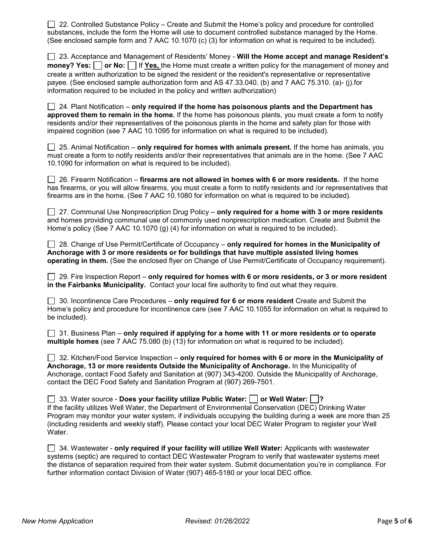$\Box$  22. Controlled Substance Policy – Create and Submit the Home's policy and procedure for controlled substances, include the form the Home will use to document controlled substance managed by the Home. (See enclosed sample form and 7 AAC 10.1070 (c) (3) for information on what is required to be included).

| □ 23. Acceptance and Management of Residents' Money - Will the Home accept and manage Resident's               |
|----------------------------------------------------------------------------------------------------------------|
| money? Yes: $\Box$ or No: $\Box$ If Yes, the Home must create a written policy for the management of money and |
| create a written authorization to be signed the resident or the resident's representative or representative    |
| payee. (See enclosed sample authorization form and AS 47.33.040. (b) and 7 AAC 75.310. (a)- (j) for            |
| information required to be included in the policy and written authorization)                                   |

| $\Box$ 24. Plant Notification – only required if the home has poisonous plants and the Department has     |
|-----------------------------------------------------------------------------------------------------------|
| approved them to remain in the home. If the home has poisonous plants, you must create a form to notify   |
| residents and/or their representatives of the poisonous plants in the home and safety plan for those with |
| impaired cognition (see 7 AAC 10.1095 for information on what is required to be included).                |

| $\Box$ 25. Animal Notification – only required for homes with animals present. If the home has animals, you  |  |
|--------------------------------------------------------------------------------------------------------------|--|
| must create a form to notify residents and/or their representatives that animals are in the home. (See 7 AAC |  |
| 10.1090 for information on what is required to be included).                                                 |  |

 26. Firearm Notification – **firearms are not allowed in homes with 6 or more residents.** If the home has firearms, or you will allow firearms, you must create a form to notify residents and /or representatives that firearms are in the home. (See 7 AAC 10.1080 for information on what is required to be included).

| $\Box$ 27. Communal Use Nonprescription Drug Policy – only required for a home with 3 or more residents |
|---------------------------------------------------------------------------------------------------------|
| and homes providing communal use of commonly used nonprescription medication. Create and Submit the     |
| Home's policy (See 7 AAC 10.1070 (g) (4) for information on what is required to be included).           |

 28. Change of Use Permit/Certificate of Occupancy – **only required for homes in the Municipality of Anchorage with 3 or more residents or for buildings that have multiple assisted living homes operating in them.** (See the enclosed flyer on Change of Use Permit/Certificate of Occupancy requirement).

 29. Fire Inspection Report – **only required for homes with 6 or more residents, or 3 or more resident in the Fairbanks Municipality.** Contact your local fire authority to find out what they require.

| □ 30. Incontinence Care Procedures – only required for 6 or more resident Create and Submit the             |
|-------------------------------------------------------------------------------------------------------------|
| Home's policy and procedure for incontinence care (see 7 AAC 10.1055 for information on what is required to |
| be included).                                                                                               |

| $\Box$ 31. Business Plan – only required if applying for a home with 11 or more residents or to operate |  |
|---------------------------------------------------------------------------------------------------------|--|
| multiple homes (see 7 AAC 75.080 (b) (13) for information on what is required to be included).          |  |

| $\Box$ 32. Kitchen/Food Service Inspection – only required for homes with 6 or more in the Municipality of |
|------------------------------------------------------------------------------------------------------------|
| Anchorage, 13 or more residents Outside the Municipality of Anchorage. In the Municipality of              |
| Anchorage, contact Food Safety and Sanitation at (907) 343-4200. Outside the Municipality of Anchorage,    |
| contact the DEC Food Safety and Sanitation Program at (907) 269-7501.                                      |

**33. Water source - Does your facility utilize Public Water:**  $\Box$  **or Well Water:**  $\Box$ **?** 

| If the facility utilizes Well Water, the Department of Environmental Conservation (DEC) Drinking Water      |
|-------------------------------------------------------------------------------------------------------------|
| Program may monitor your water system, if individuals occupying the building during a week are more than 25 |
| (including residents and weekly staff). Please contact your local DEC Water Program to register your Well   |
| Water.                                                                                                      |

 34. Wastewater - **only required if your facility will utilize Well Water:** Applicants with wastewater systems (septic) are required to contact DEC Wastewater Program to verify that wastewater systems meet the distance of separation required from their water system. Submit documentation you're in compliance. For further information contact Division of Water (907) 465-5180 or your local DEC office.